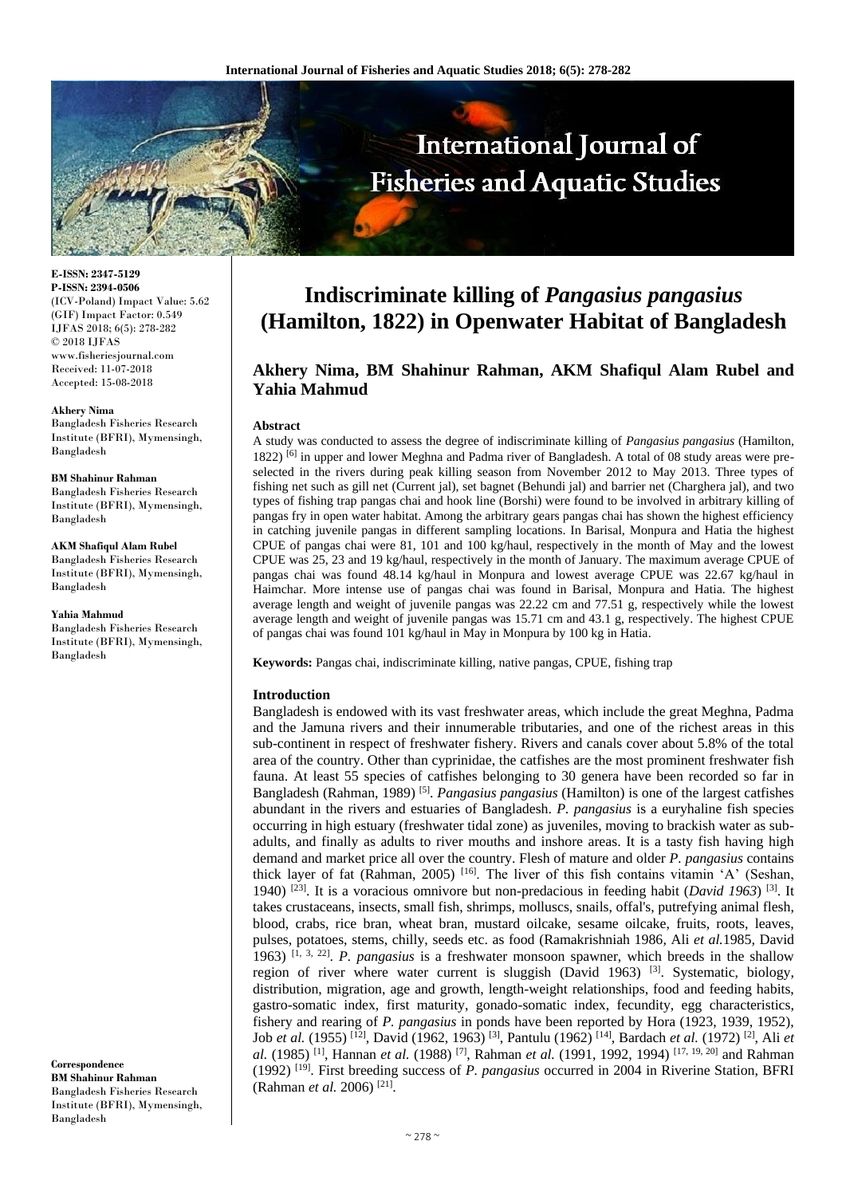

**E-ISSN: 2347-5129 P-ISSN: 2394-0506** (ICV-Poland) Impact Value: 5.62 (GIF) Impact Factor: 0.549 IJFAS 2018; 6(5): 278-282 © 2018 IJFAS www.fisheriesjournal.com Received: 11-07-2018 Accepted: 15-08-2018

#### **Akhery Nima**

Bangladesh Fisheries Research Institute (BFRI), Mymensingh, Bangladesh

#### **BM Shahinur Rahman**

Bangladesh Fisheries Research Institute (BFRI), Mymensingh, Bangladesh

**AKM Shafiqul Alam Rubel** Bangladesh Fisheries Research Institute (BFRI), Mymensingh, Bangladesh

**Yahia Mahmud** Bangladesh Fisheries Research Institute (BFRI), Mymensingh, Bangladesh

**Correspondence BM Shahinur Rahman** Bangladesh Fisheries Research Institute (BFRI), Mymensingh, Bangladesh

# **Indiscriminate killing of** *Pangasius pangasius*  **(Hamilton, 1822) in Openwater Habitat of Bangladesh**

## **Akhery Nima, BM Shahinur Rahman, AKM Shafiqul Alam Rubel and Yahia Mahmud**

#### **Abstract**

A study was conducted to assess the degree of indiscriminate killing of *Pangasius pangasius* (Hamilton, 1822) <sup>[6]</sup> in upper and lower Meghna and Padma river of Bangladesh. A total of 08 study areas were preselected in the rivers during peak killing season from November 2012 to May 2013. Three types of fishing net such as gill net (Current jal), set bagnet (Behundi jal) and barrier net (Charghera jal), and two types of fishing trap pangas chai and hook line (Borshi) were found to be involved in arbitrary killing of pangas fry in open water habitat. Among the arbitrary gears pangas chai has shown the highest efficiency in catching juvenile pangas in different sampling locations. In Barisal, Monpura and Hatia the highest CPUE of pangas chai were 81, 101 and 100 kg/haul, respectively in the month of May and the lowest CPUE was 25, 23 and 19 kg/haul, respectively in the month of January. The maximum average CPUE of pangas chai was found 48.14 kg/haul in Monpura and lowest average CPUE was 22.67 kg/haul in Haimchar. More intense use of pangas chai was found in Barisal, Monpura and Hatia. The highest average length and weight of juvenile pangas was 22.22 cm and 77.51 g, respectively while the lowest average length and weight of juvenile pangas was 15.71 cm and 43.1 g, respectively. The highest CPUE of pangas chai was found 101 kg/haul in May in Monpura by 100 kg in Hatia.

**Keywords:** Pangas chai, indiscriminate killing, native pangas, CPUE, fishing trap

## **Introduction**

Bangladesh is endowed with its vast freshwater areas, which include the great Meghna, Padma and the Jamuna rivers and their innumerable tributaries, and one of the richest areas in this sub-continent in respect of freshwater fishery. Rivers and canals cover about 5.8% of the total area of the country. Other than cyprinidae, the catfishes are the most prominent freshwater fish fauna. At least 55 species of catfishes belonging to 30 genera have been recorded so far in Bangladesh (Rahman, 1989) [5] . *Pangasius pangasius* (Hamilton) is one of the largest catfishes abundant in the rivers and estuaries of Bangladesh. *P. pangasius* is a euryhaline fish species occurring in high estuary (freshwater tidal zone) as juveniles, moving to brackish water as subadults, and finally as adults to river mouths and inshore areas. It is a tasty fish having high demand and market price all over the country. Flesh of mature and older *P. pangasius* contains thick layer of fat (Rahman, 2005)  $[16]$ . The liver of this fish contains vitamin 'A' (Seshan, 1940)<sup>[23]</sup>. It is a voracious omnivore but non-predacious in feeding habit (*David 1963*)<sup>[3]</sup>. It takes crustaceans, insects, small fish, shrimps, molluscs, snails, offal's, putrefying animal flesh, blood, crabs, rice bran, wheat bran, mustard oilcake, sesame oilcake, fruits, roots, leaves, pulses, potatoes, stems, chilly, seeds etc. as food (Ramakrishniah 1986*,* Ali *et al.*1985*,* David 1963) [1, 3, 22] . *P. pangasius* is a freshwater monsoon spawner, which breeds in the shallow region of river where water current is sluggish (David 1963)  $^{[3]}$ . Systematic, biology, distribution, migration, age and growth, length-weight relationships, food and feeding habits, gastro-somatic index, first maturity, gonado-somatic index, fecundity, egg characteristics, fishery and rearing of *P. pangasius* in ponds have been reported by Hora (1923, 1939, 1952), Job *et al.* (1955) <sup>[12]</sup>, David (1962, 1963) <sup>[3]</sup>, Pantulu (1962) <sup>[14]</sup>, Bardach *et al.* (1972) <sup>[2]</sup>, Ali *et* al. (1985) <sup>[1]</sup>, Hannan *et al.* (1988) <sup>[7]</sup>, Rahman *et al.* (1991, 1992, 1994) <sup>[17, 19, 20]</sup> and Rahman (1992) [19] . First breeding success of *P. pangasius* occurred in 2004 in Riverine Station, BFRI (Rahman *et al.* 2006) [21] .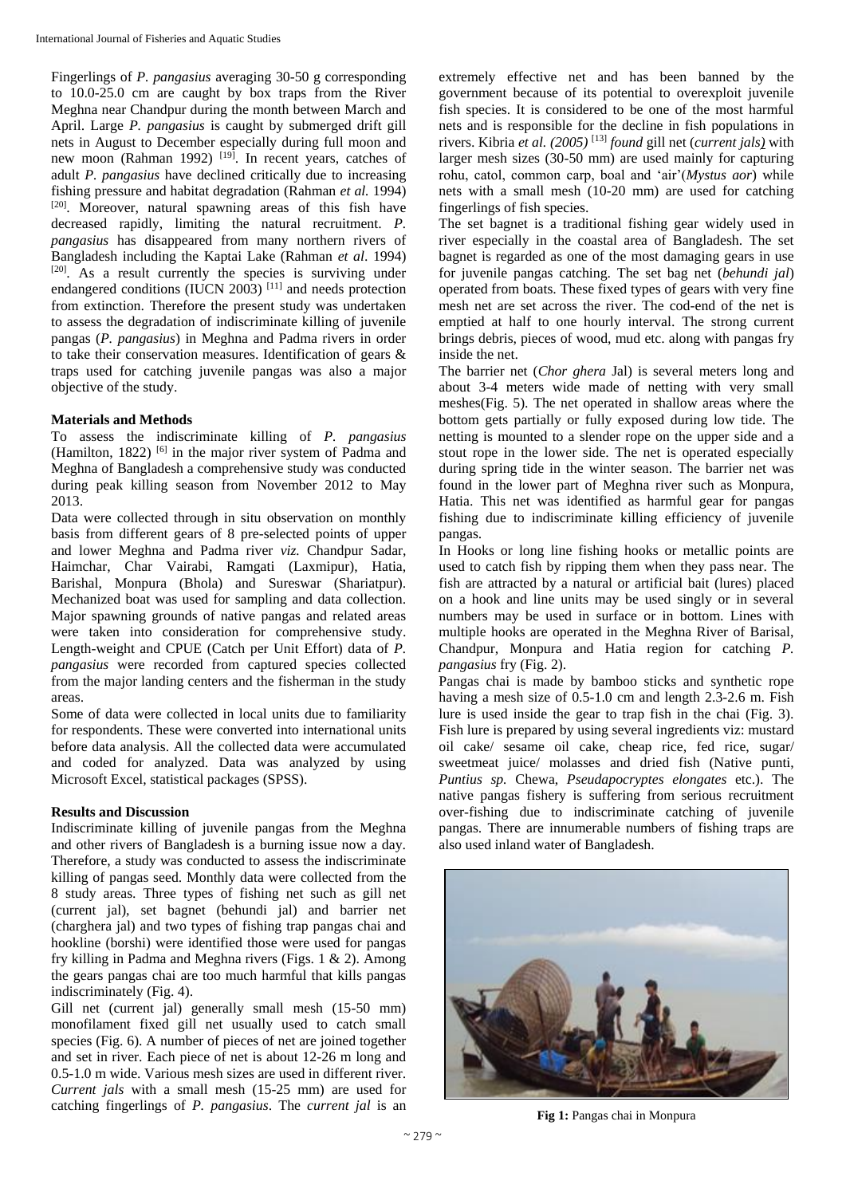Fingerlings of *P. pangasius* averaging 30-50 g corresponding to 10.0-25.0 cm are caught by box traps from the River Meghna near Chandpur during the month between March and April. Large *P. pangasius* is caught by submerged drift gill nets in August to December especially during full moon and new moon (Rahman 1992)  $[19]$ . In recent years, catches of adult *P. pangasius* have declined critically due to increasing fishing pressure and habitat degradation (Rahman *et al.* 1994) [20]. Moreover, natural spawning areas of this fish have decreased rapidly, limiting the natural recruitment. *P. pangasius* has disappeared from many northern rivers of Bangladesh including the Kaptai Lake (Rahman *et al*. 1994) [20]. As a result currently the species is surviving under endangered conditions (IUCN 2003)<sup>[11]</sup> and needs protection from extinction. Therefore the present study was undertaken to assess the degradation of indiscriminate killing of juvenile pangas (*P. pangasius*) in Meghna and Padma rivers in order to take their conservation measures. Identification of gears & traps used for catching juvenile pangas was also a major objective of the study.

## **Materials and Methods**

To assess the indiscriminate killing of *P. pangasius*  (Hamilton, 1822)<sup>[6]</sup> in the major river system of Padma and Meghna of Bangladesh a comprehensive study was conducted during peak killing season from November 2012 to May 2013.

Data were collected through in situ observation on monthly basis from different gears of 8 pre-selected points of upper and lower Meghna and Padma river *viz.* Chandpur Sadar, Haimchar, Char Vairabi, Ramgati (Laxmipur), Hatia, Barishal, Monpura (Bhola) and Sureswar (Shariatpur). Mechanized boat was used for sampling and data collection. Major spawning grounds of native pangas and related areas were taken into consideration for comprehensive study. Length-weight and CPUE (Catch per Unit Effort) data of *P. pangasius* were recorded from captured species collected from the major landing centers and the fisherman in the study areas.

Some of data were collected in local units due to familiarity for respondents. These were converted into international units before data analysis. All the collected data were accumulated and coded for analyzed. Data was analyzed by using Microsoft Excel, statistical packages (SPSS).

## **Results and Discussion**

Indiscriminate killing of juvenile pangas from the Meghna and other rivers of Bangladesh is a burning issue now a day. Therefore, a study was conducted to assess the indiscriminate killing of pangas seed. Monthly data were collected from the 8 study areas. Three types of fishing net such as gill net (current jal), set bagnet (behundi jal) and barrier net (charghera jal) and two types of fishing trap pangas chai and hookline (borshi) were identified those were used for pangas fry killing in Padma and Meghna rivers (Figs. 1 & 2). Among the gears pangas chai are too much harmful that kills pangas indiscriminately (Fig. 4).

Gill net (current jal) generally small mesh (15-50 mm) monofilament fixed gill net usually used to catch small species (Fig. 6). A number of pieces of net are joined together and set in river. Each piece of net is about 12-26 m long and 0.5-1.0 m wide. Various mesh sizes are used in different river. *Current jals* with a small mesh (15-25 mm) are used for catching fingerlings of *P. pangasius*. The *current jal* is an

extremely effective net and has been banned by the government because of its potential to overexploit juvenile fish species. It is considered to be one of the most harmful nets and is responsible for the decline in fish populations in rivers. Kibria *et al. (2005)* [13] *found* gill net (*current jals)* with larger mesh sizes (30-50 mm) are used mainly for capturing rohu, catol, common carp, boal and 'air'(*Mystus aor*) while nets with a small mesh (10-20 mm) are used for catching fingerlings of fish species.

The set bagnet is a traditional fishing gear widely used in river especially in the coastal area of Bangladesh. The set bagnet is regarded as one of the most damaging gears in use for juvenile pangas catching. The set bag net (*behundi jal*) operated from boats. These fixed types of gears with very fine mesh net are set across the river. The cod-end of the net is emptied at half to one hourly interval. The strong current brings debris, pieces of wood, mud etc. along with pangas fry inside the net.

The barrier net (*Chor ghera* Jal) is several meters long and about 3-4 meters wide made of netting with very small meshes(Fig. 5). The net operated in shallow areas where the bottom gets partially or fully exposed during low tide. The netting is mounted to a slender rope on the upper side and a stout rope in the lower side. The net is operated especially during spring tide in the winter season. The barrier net was found in the lower part of Meghna river such as Monpura, Hatia. This net was identified as harmful gear for pangas fishing due to indiscriminate killing efficiency of juvenile pangas.

In Hooks or long line fishing hooks or metallic points are used to catch fish by ripping them when they pass near. The fish are attracted by a natural or artificial bait (lures) placed on a hook and line units may be used singly or in several numbers may be used in surface or in bottom. Lines with multiple hooks are operated in the Meghna River of Barisal, Chandpur, Monpura and Hatia region for catching *P. pangasius* fry (Fig. 2).

Pangas chai is made by bamboo sticks and synthetic rope having a mesh size of 0.5-1.0 cm and length 2.3-2.6 m. Fish lure is used inside the gear to trap fish in the chai (Fig. 3). Fish lure is prepared by using several ingredients viz: mustard oil cake/ sesame oil cake, cheap rice, fed rice, sugar/ sweetmeat juice/ molasses and dried fish (Native punti, *Puntius sp.* Chewa, *Pseudapocryptes elongates* etc.). The native pangas fishery is suffering from serious recruitment over-fishing due to indiscriminate catching of juvenile pangas. There are innumerable numbers of fishing traps are also used inland water of Bangladesh.



**Fig 1:** Pangas chai in Monpura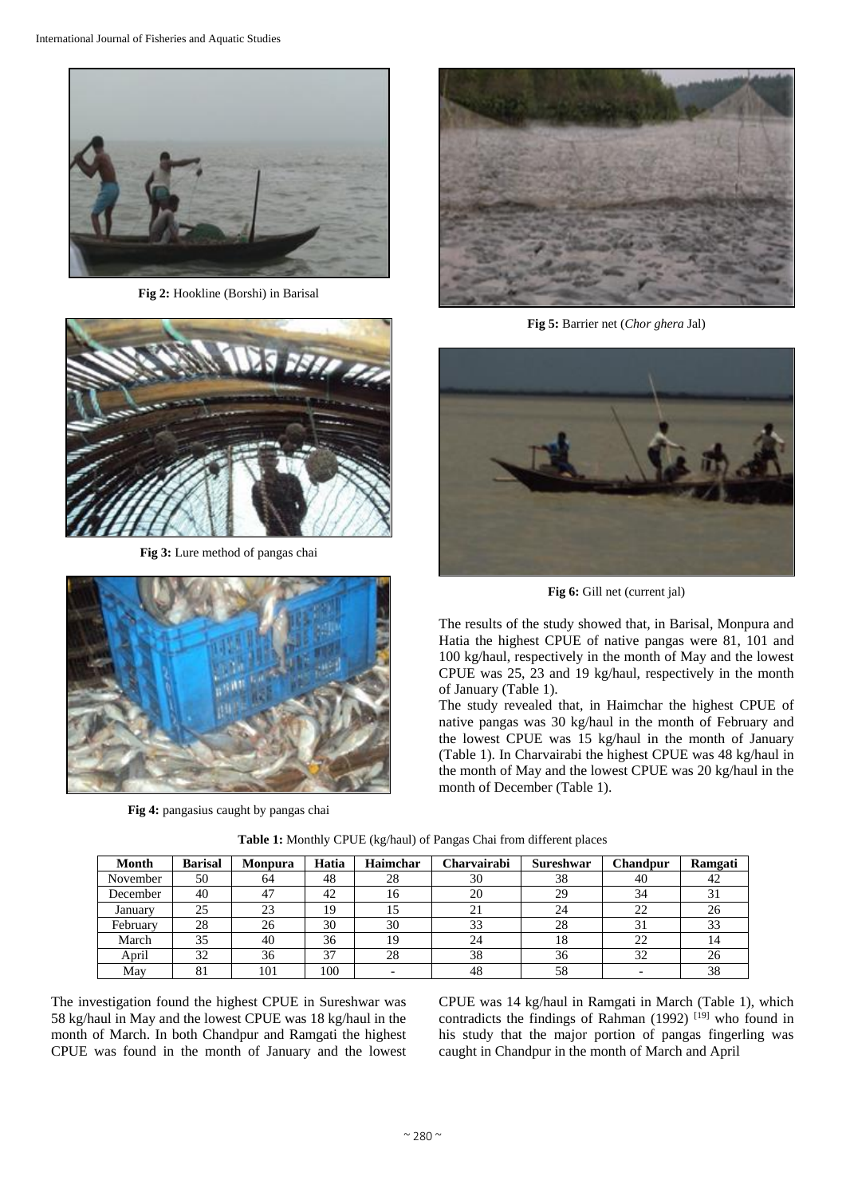

**Fig 2:** Hookline (Borshi) in Barisal



**Fig 3:** Lure method of pangas chai



**Fig 4:** pangasius caught by pangas chai



**Fig 5:** Barrier net (*Chor ghera* Jal)



**Fig 6:** Gill net (current jal)

The results of the study showed that, in Barisal, Monpura and Hatia the highest CPUE of native pangas were 81, 101 and 100 kg/haul, respectively in the month of May and the lowest CPUE was 25, 23 and 19 kg/haul, respectively in the month of January (Table 1).

The study revealed that, in Haimchar the highest CPUE of native pangas was 30 kg/haul in the month of February and the lowest CPUE was 15 kg/haul in the month of January (Table 1). In Charvairabi the highest CPUE was 48 kg/haul in the month of May and the lowest CPUE was 20 kg/haul in the month of December (Table 1).

| Month    | <b>Barisal</b> | <b>Monpura</b> | Hatia | Haimchar | Charvairabi | Sureshwar | Chandpur | Ramgati |
|----------|----------------|----------------|-------|----------|-------------|-----------|----------|---------|
| November | 50             | 64             | 48    | 28       | 30          | 38        | 40       | 42      |
| December | 40             | 47             | 42    | 16       | 20          | 29        | 34       |         |
| January  | 25             | 23             | 19    |          | 21          | 24        | 22       | 26      |
| February | 28             | 26             | 30    | 30       | 33          | 28        | 31       | 33      |
| March    | 35             | 40             | 36    | 19       | 24          | 18        | 22       |         |
| April    | 32             | 36             | 37    | 28       | 38          | 36        | 32       | 26      |
| May      | 81             | 101            | 100   |          | 48          | 58        |          | 38      |

**Table 1:** Monthly CPUE (kg/haul) of Pangas Chai from different places

The investigation found the highest CPUE in Sureshwar was 58 kg/haul in May and the lowest CPUE was 18 kg/haul in the month of March. In both Chandpur and Ramgati the highest CPUE was found in the month of January and the lowest CPUE was 14 kg/haul in Ramgati in March (Table 1), which contradicts the findings of Rahman (1992)<sup>[19]</sup> who found in his study that the major portion of pangas fingerling was caught in Chandpur in the month of March and April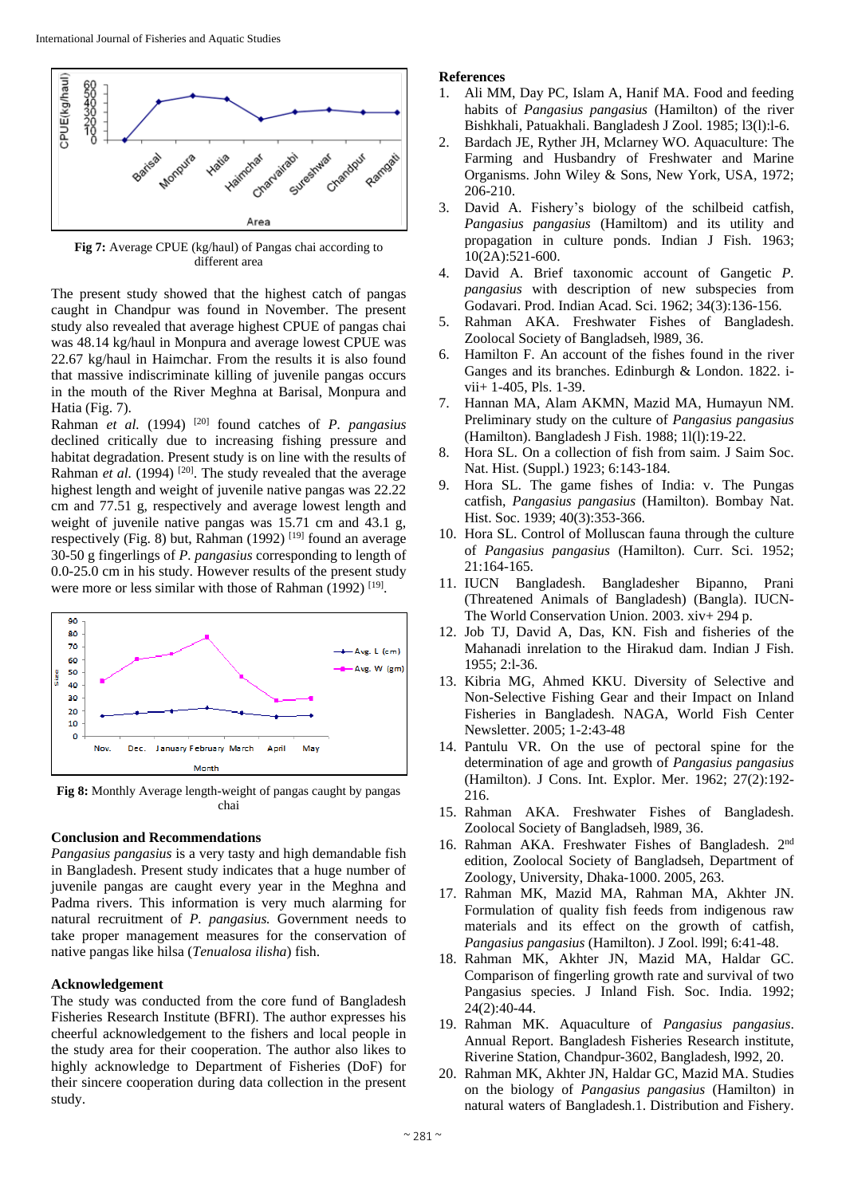

**Fig 7:** Average CPUE (kg/haul) of Pangas chai according to different area

The present study showed that the highest catch of pangas caught in Chandpur was found in November. The present study also revealed that average highest CPUE of pangas chai was 48.14 kg/haul in Monpura and average lowest CPUE was 22.67 kg/haul in Haimchar. From the results it is also found that massive indiscriminate killing of juvenile pangas occurs in the mouth of the River Meghna at Barisal, Monpura and Hatia (Fig. 7).

Rahman *et al.* (1994)<sup>[20]</sup> found catches of *P. pangasius* declined critically due to increasing fishing pressure and habitat degradation. Present study is on line with the results of Rahman *et al.* (1994)<sup>[20]</sup>. The study revealed that the average highest length and weight of juvenile native pangas was 22.22 cm and 77.51 g, respectively and average lowest length and weight of juvenile native pangas was 15.71 cm and 43.1 g, respectively (Fig. 8) but, Rahman  $(1992)$  [19] found an average 30-50 g fingerlings of *P. pangasius* corresponding to length of 0.0-25.0 cm in his study. However results of the present study were more or less similar with those of Rahman (1992)<sup>[19]</sup>.



**Fig 8:** Monthly Average length-weight of pangas caught by pangas chai

#### **Conclusion and Recommendations**

*Pangasius pangasius* is a very tasty and high demandable fish in Bangladesh. Present study indicates that a huge number of juvenile pangas are caught every year in the Meghna and Padma rivers. This information is very much alarming for natural recruitment of *P. pangasius.* Government needs to take proper management measures for the conservation of native pangas like hilsa (*Tenualosa ilisha*) fish.

## **Acknowledgement**

The study was conducted from the core fund of Bangladesh Fisheries Research Institute (BFRI). The author expresses his cheerful acknowledgement to the fishers and local people in the study area for their cooperation. The author also likes to highly acknowledge to Department of Fisheries (DoF) for their sincere cooperation during data collection in the present study.

### **References**

- 1. Ali MM, Day PC, Islam A, Hanif MA. Food and feeding habits of *Pangasius pangasius* (Hamilton) of the river Bishkhali, Patuakhali. Bangladesh J Zool. 1985; l3(l):l-6.
- 2. Bardach JE, Ryther JH, Mclarney WO. Aquaculture: The Farming and Husbandry of Freshwater and Marine Organisms. John Wiley & Sons, New York, USA, 1972; 206-210.
- 3. David A. Fishery's biology of the schilbeid catfish, *Pangasius pangasius* (Hamiltom) and its utility and propagation in culture ponds. Indian J Fish. 1963;  $10(2A):521-600.$
- 4. David A. Brief taxonomic account of Gangetic *P. pangasius* with description of new subspecies from Godavari. Prod. Indian Acad. Sci. 1962; 34(3):136-156.
- 5. Rahman AKA. Freshwater Fishes of Bangladesh. Zoolocal Society of Bangladseh, l989, 36.
- 6. Hamilton F. An account of the fishes found in the river Ganges and its branches. Edinburgh & London. 1822. ivii+ 1-405, Pls. 1-39.
- 7. Hannan MA, Alam AKMN, Mazid MA, Humayun NM. Preliminary study on the culture of *Pangasius pangasius* (Hamilton). Bangladesh J Fish. 1988; 1l(l):19-22.
- 8. Hora SL. On a collection of fish from saim. J Saim Soc. Nat. Hist. (Suppl.) 1923; 6:143-184.
- 9. Hora SL. The game fishes of India: v. The Pungas catfish, *Pangasius pangasius* (Hamilton). Bombay Nat. Hist. Soc. 1939; 40(3):353-366.
- 10. Hora SL. Control of Molluscan fauna through the culture of *Pangasius pangasius* (Hamilton). Curr. Sci. 1952; 21:164-165.
- 11. IUCN Bangladesh. Bangladesher Bipanno, Prani (Threatened Animals of Bangladesh) (Bangla). IUCN-The World Conservation Union. 2003. xiv+ 294 p.
- 12. Job TJ, David A, Das, KN. Fish and fisheries of the Mahanadi inrelation to the Hirakud dam. Indian J Fish. 1955; 2:l-36.
- 13. Kibria MG, Ahmed KKU. Diversity of Selective and Non-Selective Fishing Gear and their Impact on Inland Fisheries in Bangladesh. NAGA, World Fish Center Newsletter. 2005; 1-2:43-48
- 14. Pantulu VR. On the use of pectoral spine for the determination of age and growth of *Pangasius pangasius* (Hamilton). J Cons. Int. Explor. Mer. 1962; 27(2):192- 216.
- 15. Rahman AKA. Freshwater Fishes of Bangladesh. Zoolocal Society of Bangladseh, l989, 36.
- 16. Rahman AKA. Freshwater Fishes of Bangladesh. 2nd edition, Zoolocal Society of Bangladseh, Department of Zoology, University, Dhaka-1000. 2005, 263.
- 17. Rahman MK, Mazid MA, Rahman MA, Akhter JN. Formulation of quality fish feeds from indigenous raw materials and its effect on the growth of catfish, *Pangasius pangasius* (Hamilton). J Zool. l99l; 6:41-48.
- 18. Rahman MK, Akhter JN, Mazid MA, Haldar GC. Comparison of fingerling growth rate and survival of two Pangasius species. J Inland Fish. Soc. India. 1992; 24(2):40-44.
- 19. Rahman MK. Aquaculture of *Pangasius pangasius*. Annual Report. Bangladesh Fisheries Research institute, Riverine Station, Chandpur-3602, Bangladesh, l992, 20.
- 20. Rahman MK, Akhter JN, Haldar GC, Mazid MA. Studies on the biology of *Pangasius pangasius* (Hamilton) in natural waters of Bangladesh.1. Distribution and Fishery.